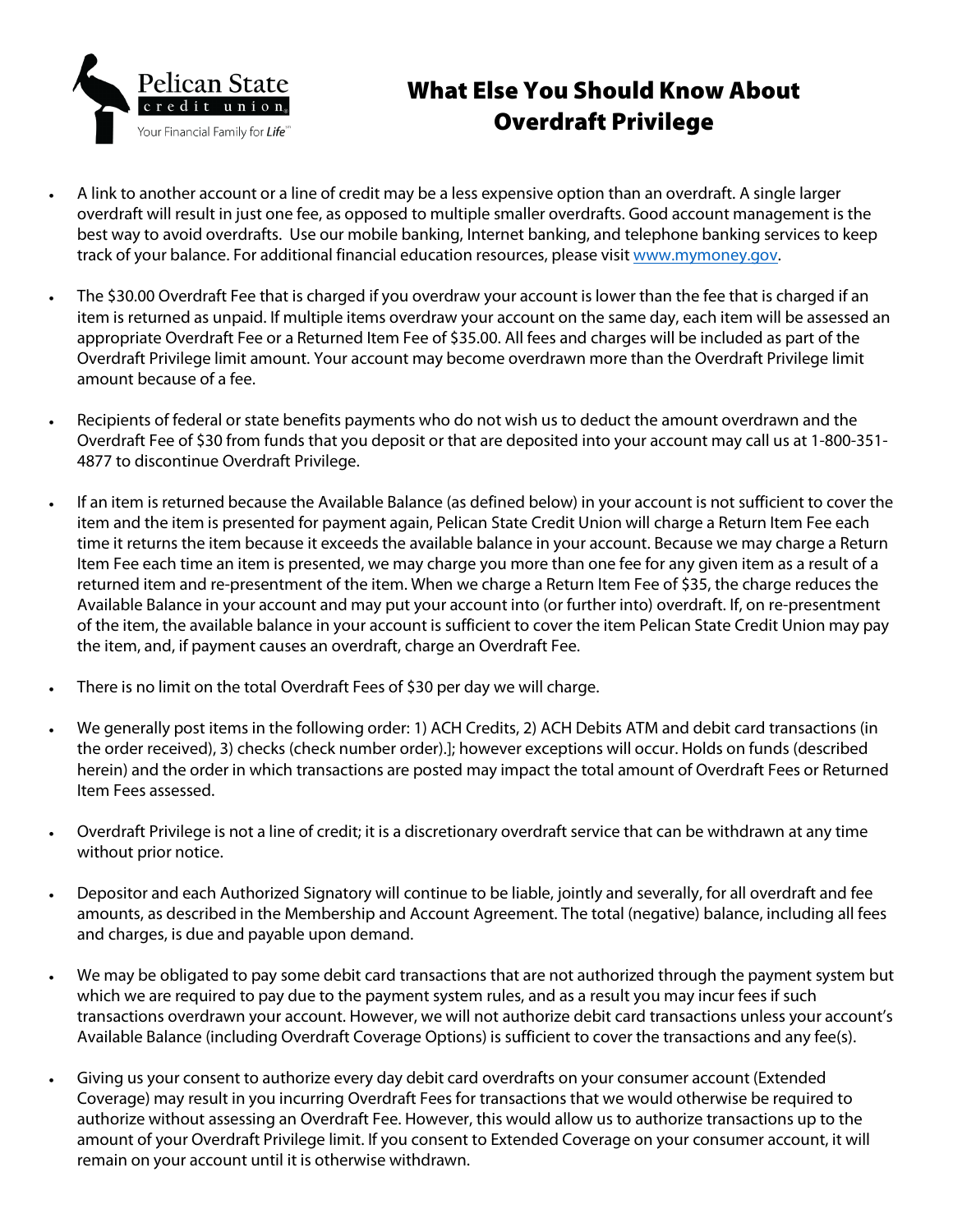

# What Else You Should Know About Overdraft Privilege

- A link to another account or a line of credit may be a less expensive option than an overdraft. A single larger overdraft will result in just one fee, as opposed to multiple smaller overdrafts. Good account management is the best way to avoid overdrafts. Use our mobile banking, Internet banking, and telephone banking services to keep track of your balance. For additional financial education resources, please visit www.mymoney.gov.
- The \$30.00 Overdraft Fee that is charged if you overdraw your account is lower than the fee that is charged if an item is returned as unpaid. If multiple items overdraw your account on the same day, each item will be assessed an appropriate Overdraft Fee or a Returned Item Fee of \$35.00. All fees and charges will be included as part of the Overdraft Privilege limit amount. Your account may become overdrawn more than the Overdraft Privilege limit amount because of a fee.
- Recipients of federal or state benefits payments who do not wish us to deduct the amount overdrawn and the Overdraft Fee of \$30 from funds that you deposit or that are deposited into your account may call us at 1-800-351- 4877 to discontinue Overdraft Privilege.
- If an item is returned because the Available Balance (as defined below) in your account is not sufficient to cover the item and the item is presented for payment again, Pelican State Credit Union will charge a Return Item Fee each time it returns the item because it exceeds the available balance in your account. Because we may charge a Return Item Fee each time an item is presented, we may charge you more than one fee for any given item as a result of a returned item and re-presentment of the item. When we charge a Return Item Fee of \$35, the charge reduces the Available Balance in your account and may put your account into (or further into) overdraft. If, on re-presentment of the item, the available balance in your account is sufficient to cover the item Pelican State Credit Union may pay the item, and, if payment causes an overdraft, charge an Overdraft Fee.
- There is no limit on the total Overdraft Fees of \$30 per day we will charge.
- We generally post items in the following order: 1) ACH Credits, 2) ACH Debits ATM and debit card transactions (in the order received), 3) checks (check number order).]; however exceptions will occur. Holds on funds (described herein) and the order in which transactions are posted may impact the total amount of Overdraft Fees or Returned Item Fees assessed.
- Overdraft Privilege is not a line of credit; it is a discretionary overdraft service that can be withdrawn at any time without prior notice.
- Depositor and each Authorized Signatory will continue to be liable, jointly and severally, for all overdraft and fee amounts, as described in the Membership and Account Agreement. The total (negative) balance, including all fees and charges, is due and payable upon demand.
- We may be obligated to pay some debit card transactions that are not authorized through the payment system but which we are required to pay due to the payment system rules, and as a result you may incur fees if such transactions overdrawn your account. However, we will not authorize debit card transactions unless your account's Available Balance (including Overdraft Coverage Options) is sufficient to cover the transactions and any fee(s).
- Giving us your consent to authorize every day debit card overdrafts on your consumer account (Extended Coverage) may result in you incurring Overdraft Fees for transactions that we would otherwise be required to authorize without assessing an Overdraft Fee. However, this would allow us to authorize transactions up to the amount of your Overdraft Privilege limit. If you consent to Extended Coverage on your consumer account, it will remain on your account until it is otherwise withdrawn.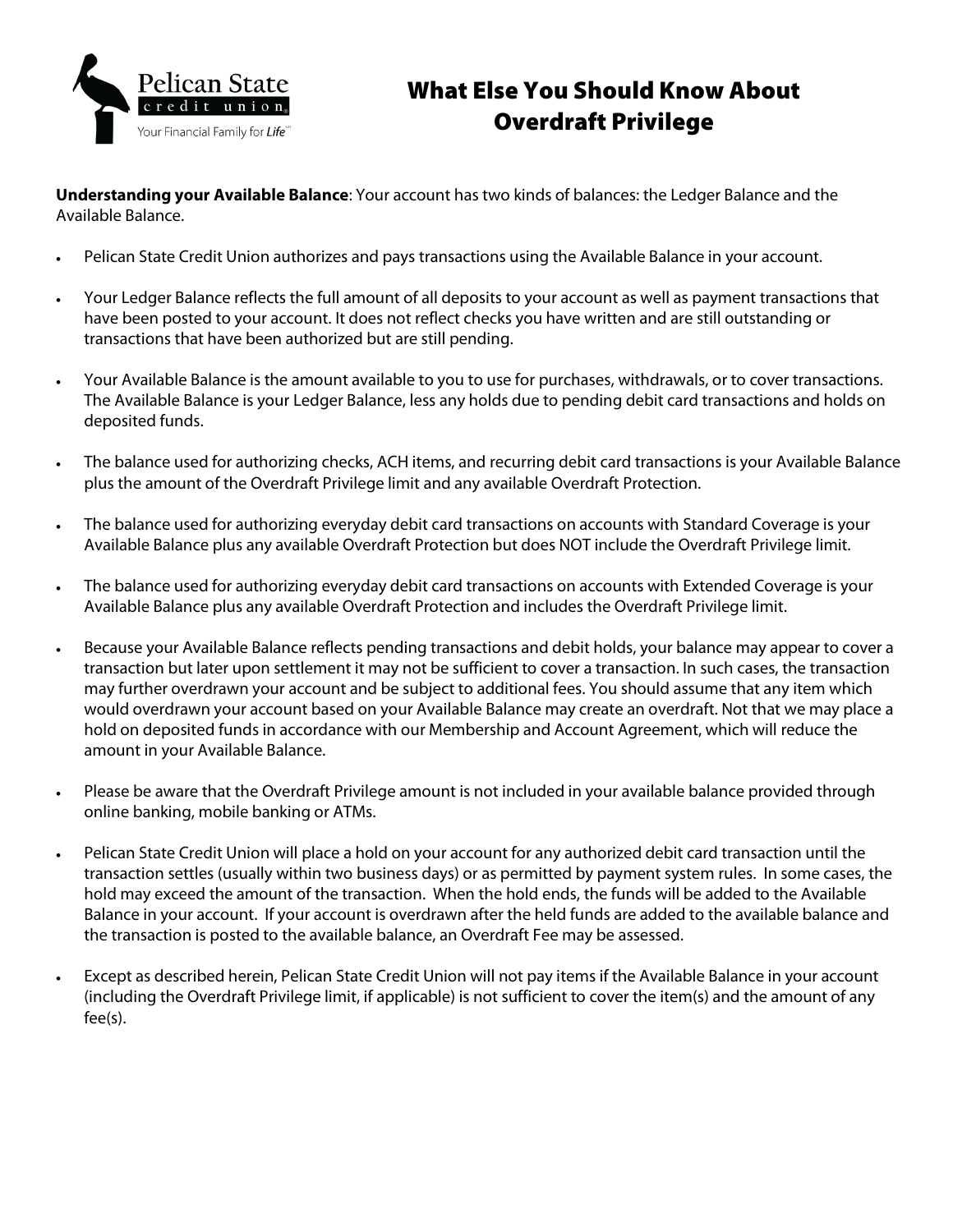

# What Else You Should Know About Overdraft Privilege

**Understanding your Available Balance**: Your account has two kinds of balances: the Ledger Balance and the Available Balance.

- Pelican State Credit Union authorizes and pays transactions using the Available Balance in your account.
- Your Ledger Balance reflects the full amount of all deposits to your account as well as payment transactions that have been posted to your account. It does not reflect checks you have written and are still outstanding or transactions that have been authorized but are still pending.
- Your Available Balance is the amount available to you to use for purchases, withdrawals, or to cover transactions. The Available Balance is your Ledger Balance, less any holds due to pending debit card transactions and holds on deposited funds.
- The balance used for authorizing checks, ACH items, and recurring debit card transactions is your Available Balance plus the amount of the Overdraft Privilege limit and any available Overdraft Protection.
- The balance used for authorizing everyday debit card transactions on accounts with Standard Coverage is your Available Balance plus any available Overdraft Protection but does NOT include the Overdraft Privilege limit.
- The balance used for authorizing everyday debit card transactions on accounts with Extended Coverage is your Available Balance plus any available Overdraft Protection and includes the Overdraft Privilege limit.
- Because your Available Balance reflects pending transactions and debit holds, your balance may appear to cover a transaction but later upon settlement it may not be sufficient to cover a transaction. In such cases, the transaction may further overdrawn your account and be subject to additional fees. You should assume that any item which would overdrawn your account based on your Available Balance may create an overdraft. Not that we may place a hold on deposited funds in accordance with our Membership and Account Agreement, which will reduce the amount in your Available Balance.
- Please be aware that the Overdraft Privilege amount is not included in your available balance provided through online banking, mobile banking or ATMs.
- Pelican State Credit Union will place a hold on your account for any authorized debit card transaction until the transaction settles (usually within two business days) or as permitted by payment system rules. In some cases, the hold may exceed the amount of the transaction. When the hold ends, the funds will be added to the Available Balance in your account. If your account is overdrawn after the held funds are added to the available balance and the transaction is posted to the available balance, an Overdraft Fee may be assessed.
- Except as described herein, Pelican State Credit Union will not pay items if the Available Balance in your account (including the Overdraft Privilege limit, if applicable) is not sufficient to cover the item(s) and the amount of any fee(s).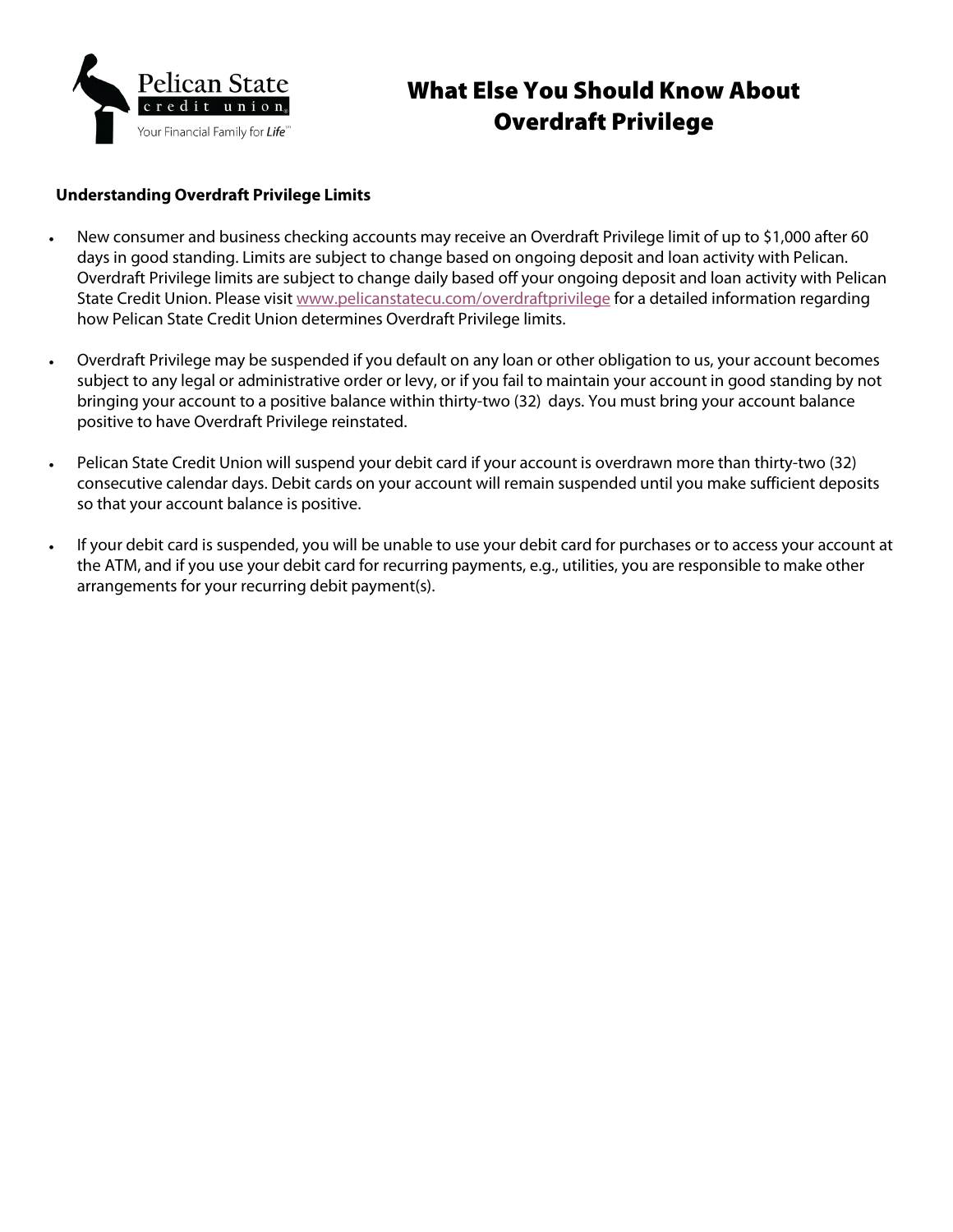

# What Else You Should Know About Overdraft Privilege

#### **Understanding Overdraft Privilege Limits**

- New consumer and business checking accounts may receive an Overdraft Privilege limit of up to \$1,000 after 60 days in good standing. Limits are subject to change based on ongoing deposit and loan activity with Pelican. Overdraft Privilege limits are subject to change daily based off your ongoing deposit and loan activity with Pelican State Credit Union. Please visit [www.pelicanstatecu.com/overdraftprivilege](https://www.pelicanstatecu.com/services-tools/account-services/overdraft-privilege.html) for a detailed information regarding how Pelican State Credit Union determines Overdraft Privilege limits.
- Overdraft Privilege may be suspended if you default on any loan or other obligation to us, your account becomes subject to any legal or administrative order or levy, or if you fail to maintain your account in good standing by not bringing your account to a positive balance within thirty-two (32) days. You must bring your account balance positive to have Overdraft Privilege reinstated.
- Pelican State Credit Union will suspend your debit card if your account is overdrawn more than thirty-two (32) consecutive calendar days. Debit cards on your account will remain suspended until you make sufficient deposits so that your account balance is positive.
- If your debit card is suspended, you will be unable to use your debit card for purchases or to access your account at the ATM, and if you use your debit card for recurring payments, e.g., utilities, you are responsible to make other arrangements for your recurring debit payment(s).